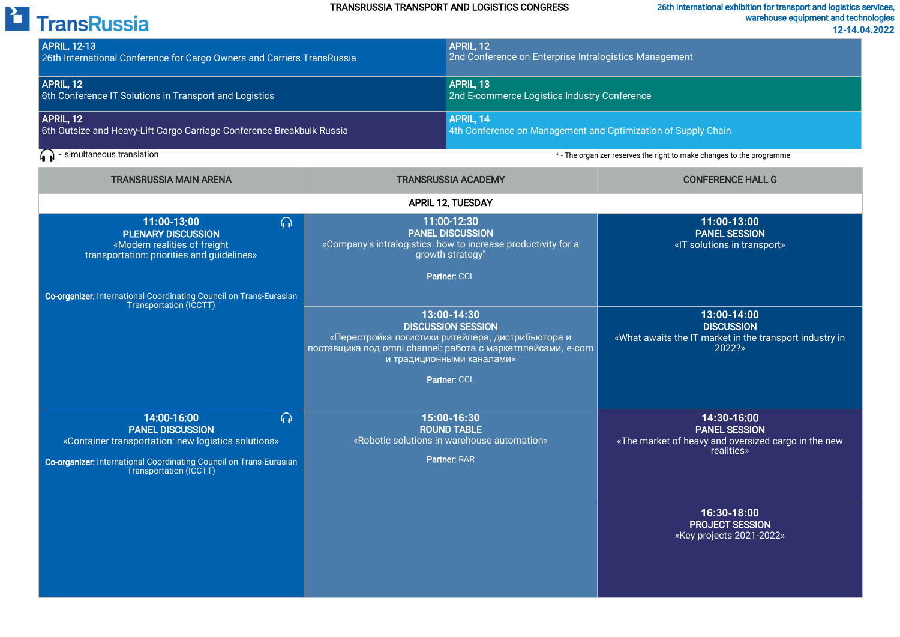#### TRANSRUSSIA TRANSPORT AND LOGISTICS CONGRESS

# <sup>2</sup> TransRussia

| <b>APRIL, 12-13</b><br>26th International Conference for Cargo Owners and Carriers TransRussia                                                                                                                          |                                                                                                                                                                                                                                                                                                                                                          | APRIL, 12<br>2nd Conference on Enterprise Intralogistics Management                                     |                                                                                                                                                                               |  |  |
|-------------------------------------------------------------------------------------------------------------------------------------------------------------------------------------------------------------------------|----------------------------------------------------------------------------------------------------------------------------------------------------------------------------------------------------------------------------------------------------------------------------------------------------------------------------------------------------------|---------------------------------------------------------------------------------------------------------|-------------------------------------------------------------------------------------------------------------------------------------------------------------------------------|--|--|
| APRIL, 12<br>6th Conference IT Solutions in Transport and Logistics                                                                                                                                                     |                                                                                                                                                                                                                                                                                                                                                          | APRIL, 13<br>2nd E-commerce Logistics Industry Conference                                               |                                                                                                                                                                               |  |  |
| APRIL, 12<br>6th Outsize and Heavy-Lift Cargo Carriage Conference Breakbulk Russia                                                                                                                                      |                                                                                                                                                                                                                                                                                                                                                          | APRIL, 14<br>4th Conference on Management and Optimization of Supply Chain                              |                                                                                                                                                                               |  |  |
| $\left(\right.\right)$ - simultaneous translation                                                                                                                                                                       |                                                                                                                                                                                                                                                                                                                                                          | * - The organizer reserves the right to make changes to the programme                                   |                                                                                                                                                                               |  |  |
| <b>TRANSRUSSIA MAIN ARENA</b>                                                                                                                                                                                           | <b>TRANSRUSSIA ACADEMY</b>                                                                                                                                                                                                                                                                                                                               |                                                                                                         | <b>CONFERENCE HALL G</b>                                                                                                                                                      |  |  |
| <b>APRIL 12, TUESDAY</b>                                                                                                                                                                                                |                                                                                                                                                                                                                                                                                                                                                          |                                                                                                         |                                                                                                                                                                               |  |  |
| $\Omega$<br>11:00-13:00<br><b>PLENARY DISCUSSION</b><br>«Modern realities of freight<br>transportation: priorities and guidelines»<br><b>Co-organizer:</b> International Coordinating Council on Trans-Eurasian         | 11:00-12:30<br><b>PANEL DISCUSSION</b><br>«Company's intralogistics: how to increase productivity for a<br>growth strategy'<br>Partner: CCL<br>13:00-14:30<br><b>DISCUSSION SESSION</b><br>«Перестройка логистики ритейлера, дистрибьютора и<br>поставщика под omni channel: работа с маркетплейсами, e-com<br>и традиционными каналами»<br>Partner: CCL |                                                                                                         | 11:00-13:00<br><b>PANEL SESSION</b><br>«IT solutions in transport»                                                                                                            |  |  |
| Transportation (ICCTT)                                                                                                                                                                                                  |                                                                                                                                                                                                                                                                                                                                                          |                                                                                                         | 13:00-14:00<br><b>DISCUSSION</b><br>«What awaits the IT market in the transport industry in<br>2022?»                                                                         |  |  |
| $\Omega$<br>14:00-16:00<br><b>PANEL DISCUSSION</b><br>«Container transportation: new logistics solutions»<br><b>Co-organizer:</b> International Coordinating Council on Trans-Eurasian<br><b>Transportation (ICCTT)</b> |                                                                                                                                                                                                                                                                                                                                                          | 15:00-16:30<br><b>ROUND TABLE</b><br>«Robotic solutions in warehouse automation»<br><b>Partner: RAR</b> | 14:30-16:00<br><b>PANEL SESSION</b><br>«The market of heavy and oversized cargo in the new<br>realities»<br>16:30-18:00<br><b>PROJECT SESSION</b><br>«Key projects 2021-2022» |  |  |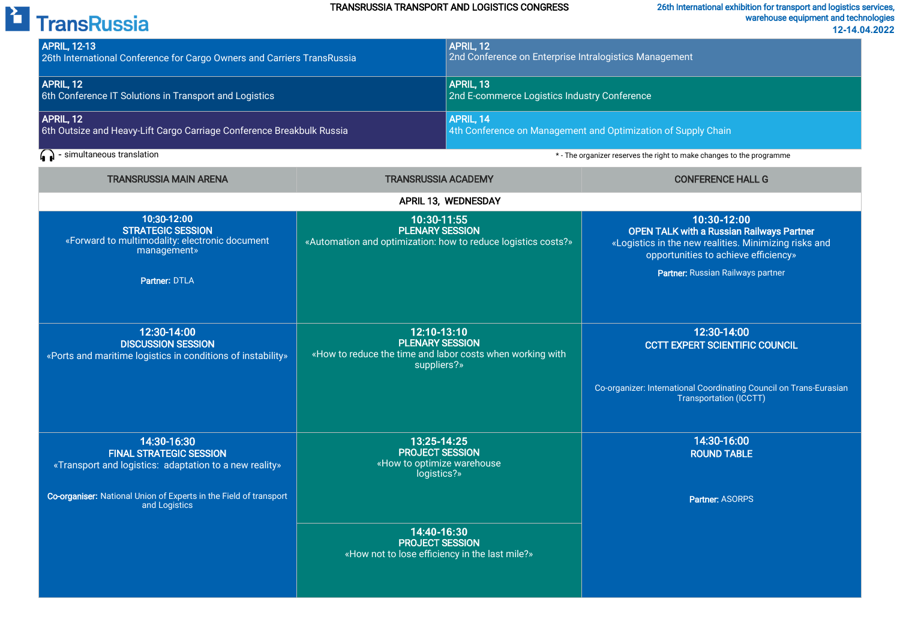#### TRANSRUSSIA TRANSPORT AND LOGISTICS CONGRESS

### 26th International exhibition for transport and logistics services, warehouse equipment and technologies

| <sup>2</sup> TransRussia                                                                                                                                  |                                                                                                                   |                                                                                                                                         | warehouse equipment and technologies<br>12-14.04.2022                                                                                                            |
|-----------------------------------------------------------------------------------------------------------------------------------------------------------|-------------------------------------------------------------------------------------------------------------------|-----------------------------------------------------------------------------------------------------------------------------------------|------------------------------------------------------------------------------------------------------------------------------------------------------------------|
| <b>APRIL, 12-13</b><br>26th International Conference for Cargo Owners and Carriers TransRussia                                                            |                                                                                                                   | APRIL, 12<br>2nd Conference on Enterprise Intralogistics Management                                                                     |                                                                                                                                                                  |
| APRIL, 12<br>6th Conference IT Solutions in Transport and Logistics<br>APRIL, 12<br>6th Outsize and Heavy-Lift Cargo Carriage Conference Breakbulk Russia |                                                                                                                   | APRIL, 13<br>2nd E-commerce Logistics Industry Conference<br>APRIL, 14<br>4th Conference on Management and Optimization of Supply Chain |                                                                                                                                                                  |
|                                                                                                                                                           |                                                                                                                   |                                                                                                                                         |                                                                                                                                                                  |
| <b>TRANSRUSSIA MAIN ARENA</b>                                                                                                                             | <b>TRANSRUSSIA ACADEMY</b>                                                                                        |                                                                                                                                         | <b>CONFERENCE HALL G</b>                                                                                                                                         |
|                                                                                                                                                           |                                                                                                                   | APRIL 13, WEDNESDAY                                                                                                                     |                                                                                                                                                                  |
| 10:30-12:00<br><b>STRATEGIC SESSION</b><br>«Forward to multimodality: electronic document<br>management»                                                  | 10:30-11:55<br><b>PLENARY SESSION</b><br>«Automation and optimization: how to reduce logistics costs?»            |                                                                                                                                         | 10:30-12:00<br><b>OPEN TALK with a Russian Railways Partner</b><br>«Logistics in the new realities. Minimizing risks and<br>opportunities to achieve efficiency» |
| Partner: DTLA                                                                                                                                             |                                                                                                                   |                                                                                                                                         | Partner: Russian Railways partner                                                                                                                                |
| 12:30-14:00<br><b>DISCUSSION SESSION</b><br>«Ports and maritime logistics in conditions of instability»                                                   | 12:10-13:10<br><b>PLENARY SESSION</b><br>«How to reduce the time and labor costs when working with<br>suppliers?» |                                                                                                                                         | 12:30-14:00<br><b>CCTT EXPERT SCIENTIFIC COUNCIL</b>                                                                                                             |
|                                                                                                                                                           |                                                                                                                   |                                                                                                                                         | Co-organizer: International Coordinating Council on Trans-Eurasian<br><b>Transportation (ICCTT)</b>                                                              |
| 14:30-16:30<br><b>FINAL STRATEGIC SESSION</b><br>«Transport and logistics: adaptation to a new reality»                                                   | 13:25-14:25<br><b>PROJECT SESSION</b><br>«How to optimize warehouse<br>logistics?»                                |                                                                                                                                         | 14:30-16:00<br><b>ROUND TABLE</b>                                                                                                                                |
| Co-organiser: National Union of Experts in the Field of transport<br>and Logistics                                                                        |                                                                                                                   |                                                                                                                                         | <b>Partner: ASORPS</b>                                                                                                                                           |
|                                                                                                                                                           | 14:40-16:30<br><b>PROJECT SESSION</b><br>«How not to lose efficiency in the last mile?»                           |                                                                                                                                         |                                                                                                                                                                  |